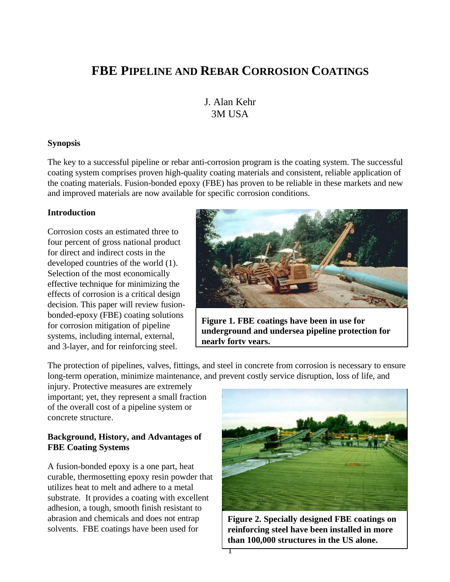# **FBE PIPELINE AND REBAR CORROSION COATINGS**

## J. Alan Kehr 3M USA

#### **Synopsis**

The key to a successful pipeline or rebar anti-corrosion program is the coating system. The successful coating system comprises proven high-quality coating materials and consistent, reliable application of the coating materials. Fusion-bonded epoxy (FBE) has proven to be reliable in these markets and new and improved materials are now available for specific corrosion conditions.

#### **Introduction**

Corrosion costs an estimated three to four percent of gross national product for direct and indirect costs in the developed countries of the world (1). Selection of the most economically effective technique for minimizing the effects of corrosion is a critical design decision. This paper will review fusionbonded-epoxy (FBE) coating solutions for corrosion mitigation of pipeline systems, including internal, external, and 3-layer, and for reinforcing steel.



**Figure 1. FBE coatings have been in use for underground and undersea pipeline protection for nearly forty years.**

The protection of pipelines, valves, fittings, and steel in concrete from corrosion is necessary to ensure long-term operation, minimize maintenance, and prevent costly service disruption, loss of life, and

injury. Protective measures are extremely important; yet, they represent a small fraction of the overall cost of a pipeline system or concrete structure.

#### **Background, History, and Advantages of FBE Coating Systems**

A fusion-bonded epoxy is a one part, heat curable, thermosetting epoxy resin powder that utilizes heat to melt and adhere to a metal substrate. It provides a coating with excellent adhesion, a tough, smooth finish resistant to abrasion and chemicals and does not entrap solvents. FBE coatings have been used for



**Figure 2. Specially designed FBE coatings on reinforcing steel have been installed in more than 100,000 structures in the US alone.**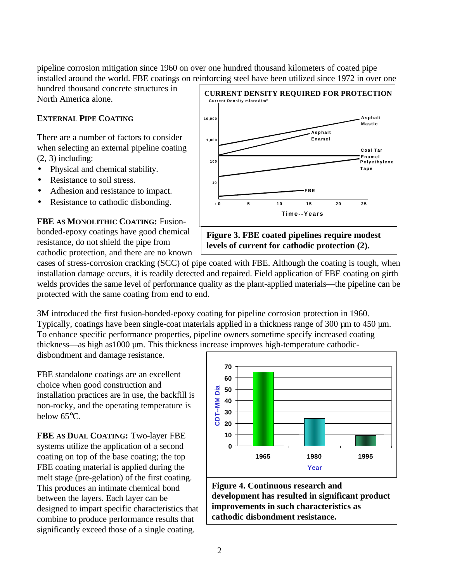pipeline corrosion mitigation since 1960 on over one hundred thousand kilometers of coated pipe installed around the world. FBE coatings on reinforcing steel have been utilized since 1972 in over one

hundred thousand concrete structures in North America alone.

#### **EXTERNAL PIPE COATING**

There are a number of factors to consider when selecting an external pipeline coating (2, 3) including:

- Physical and chemical stability.
- Resistance to soil stress.
- Adhesion and resistance to impact.
- Resistance to cathodic disbonding.

**FBE AS MONOLITHIC COATING:** Fusionbonded-epoxy coatings have good chemical resistance, do not shield the pipe from cathodic protection, and there are no known



cases of stress-corrosion cracking (SCC) of pipe coated with FBE. Although the coating is tough, when installation damage occurs, it is readily detected and repaired. Field application of FBE coating on girth welds provides the same level of performance quality as the plant-applied materials—the pipeline can be protected with the same coating from end to end.

3M introduced the first fusion-bonded-epoxy coating for pipeline corrosion protection in 1960. Typically, coatings have been single-coat materials applied in a thickness range of 300  $\mu$ m to 450  $\mu$ m. To enhance specific performance properties, pipeline owners sometime specify increased coating thickness—as high as1000 µm. This thickness increase improves high-temperature cathodic-

disbondment and damage resistance.

FBE standalone coatings are an excellent choice when good construction and installation practices are in use, the backfill is non-rocky, and the operating temperature is below 65°C.

**FBE AS DUAL COATING:** Two-layer FBE systems utilize the application of a second coating on top of the base coating; the top FBE coating material is applied during the melt stage (pre-gelation) of the first coating. This produces an intimate chemical bond between the layers. Each layer can be designed to impart specific characteristics that combine to produce performance results that significantly exceed those of a single coating.

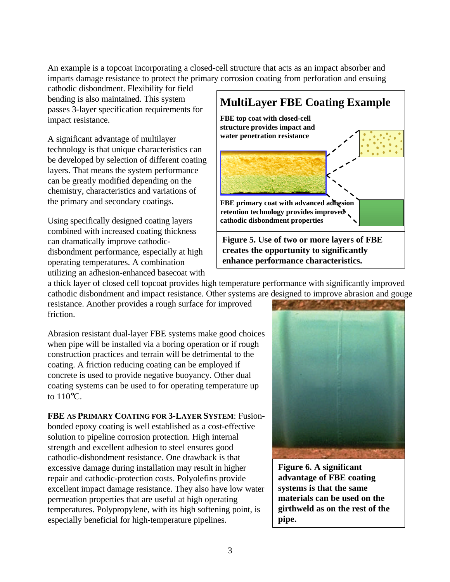An example is a topcoat incorporating a closed-cell structure that acts as an impact absorber and imparts damage resistance to protect the primary corrosion coating from perforation and ensuing

cathodic disbondment. Flexibility for field bending is also maintained. This system passes 3-layer specification requirements for impact resistance.

A significant advantage of multilayer technology is that unique characteristics can be developed by selection of different coating layers. That means the system performance can be greatly modified depending on the chemistry, characteristics and variations of the primary and secondary coatings.

Using specifically designed coating layers combined with increased coating thickness can dramatically improve cathodicdisbondment performance, especially at high operating temperatures. A combination utilizing an adhesion-enhanced basecoat with **MultiLayer FBE Coating Example FBE top coat with closed-cell structure provides impact and water penetration resistance FBE primary coat with advanced adhesion retention technology provides improved cathodic disbondment properties Figure 5. Use of two or more layers of FBE creates the opportunity to significantly enhance performance characteristics.**

a thick layer of closed cell topcoat provides high temperature performance with significantly improved cathodic disbondment and impact resistance. Other systems are designed to improve abrasion and gouge

resistance. Another provides a rough surface for improved friction.

Abrasion resistant dual-layer FBE systems make good choices when pipe will be installed via a boring operation or if rough construction practices and terrain will be detrimental to the coating. A friction reducing coating can be employed if concrete is used to provide negative buoyancy. Other dual coating systems can be used to for operating temperature up to 110°C.

**FBE AS PRIMARY COATING FOR 3-LAYER SYSTEM**: Fusionbonded epoxy coating is well established as a cost-effective solution to pipeline corrosion protection. High internal strength and excellent adhesion to steel ensures good cathodic-disbondment resistance. One drawback is that excessive damage during installation may result in higher repair and cathodic-protection costs. Polyolefins provide excellent impact damage resistance. They also have low water permeation properties that are useful at high operating temperatures. Polypropylene, with its high softening point, is especially beneficial for high-temperature pipelines.



**Figure 6. A significant advantage of FBE coating systems is that the same materials can be used on the girthweld as on the rest of the pipe.**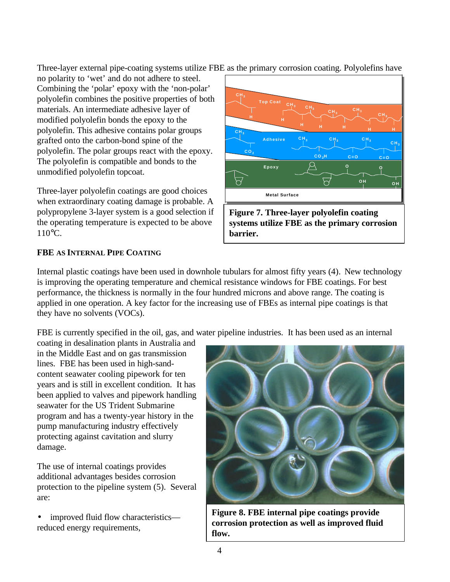Three-layer external pipe-coating systems utilize FBE as the primary corrosion coating. Polyolefins have

no polarity to 'wet' and do not adhere to steel. Combining the 'polar' epoxy with the 'non-polar' polyolefin combines the positive properties of both materials. An intermediate adhesive layer of modified polyolefin bonds the epoxy to the polyolefin. This adhesive contains polar groups grafted onto the carbon-bond spine of the polyolefin. The polar groups react with the epoxy. The polyolefin is compatible and bonds to the unmodified polyolefin topcoat.

Three-layer polyolefin coatings are good choices when extraordinary coating damage is probable. A polypropylene 3-layer system is a good selection if the operating temperature is expected to be above 110°C.



**Figure 7. Three-layer polyolefin coating systems utilize FBE as the primary corrosion barrier.**

## **FBE AS INTERNAL PIPE COATING**

Internal plastic coatings have been used in downhole tubulars for almost fifty years (4). New technology is improving the operating temperature and chemical resistance windows for FBE coatings. For best performance, the thickness is normally in the four hundred microns and above range. The coating is applied in one operation. A key factor for the increasing use of FBEs as internal pipe coatings is that they have no solvents (VOCs).

FBE is currently specified in the oil, gas, and water pipeline industries. It has been used as an internal

coating in desalination plants in Australia and in the Middle East and on gas transmission lines. FBE has been used in high-sandcontent seawater cooling pipework for ten years and is still in excellent condition. It has been applied to valves and pipework handling seawater for the US Trident Submarine program and has a twenty-year history in the pump manufacturing industry effectively protecting against cavitation and slurry damage.

The use of internal coatings provides additional advantages besides corrosion protection to the pipeline system (5). Several are:

• improved fluid flow characteristics reduced energy requirements,



**Figure 8. FBE internal pipe coatings provide corrosion protection as well as improved fluid flow.**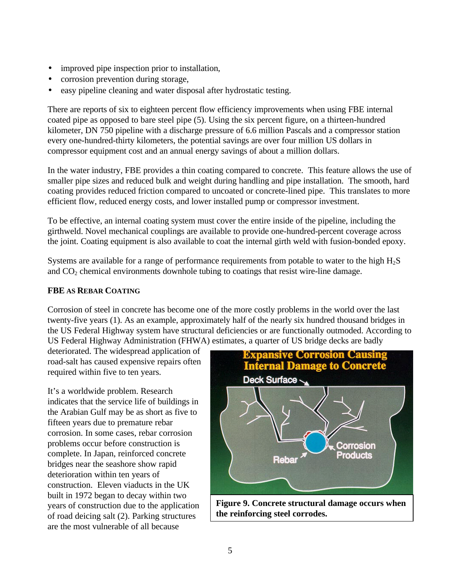- improved pipe inspection prior to installation,
- corrosion prevention during storage,
- easy pipeline cleaning and water disposal after hydrostatic testing.

There are reports of six to eighteen percent flow efficiency improvements when using FBE internal coated pipe as opposed to bare steel pipe (5). Using the six percent figure, on a thirteen-hundred kilometer, DN 750 pipeline with a discharge pressure of 6.6 million Pascals and a compressor station every one-hundred-thirty kilometers, the potential savings are over four million US dollars in compressor equipment cost and an annual energy savings of about a million dollars.

In the water industry, FBE provides a thin coating compared to concrete. This feature allows the use of smaller pipe sizes and reduced bulk and weight during handling and pipe installation. The smooth, hard coating provides reduced friction compared to uncoated or concrete-lined pipe. This translates to more efficient flow, reduced energy costs, and lower installed pump or compressor investment.

To be effective, an internal coating system must cover the entire inside of the pipeline, including the girthweld. Novel mechanical couplings are available to provide one-hundred-percent coverage across the joint. Coating equipment is also available to coat the internal girth weld with fusion-bonded epoxy.

Systems are available for a range of performance requirements from potable to water to the high  $H_2S$ and  $CO<sub>2</sub>$  chemical environments downhole tubing to coatings that resist wire-line damage.

### **FBE AS REBAR COATING**

Corrosion of steel in concrete has become one of the more costly problems in the world over the last twenty-five years (1). As an example, approximately half of the nearly six hundred thousand bridges in the US Federal Highway system have structural deficiencies or are functionally outmoded. According to US Federal Highway Administration (FHWA) estimates, a quarter of US bridge decks are badly

deteriorated. The widespread application of road-salt has caused expensive repairs often required within five to ten years.

It's a worldwide problem. Research indicates that the service life of buildings in the Arabian Gulf may be as short as five to fifteen years due to premature rebar corrosion. In some cases, rebar corrosion problems occur before construction is complete. In Japan, reinforced concrete bridges near the seashore show rapid deterioration within ten years of construction. Eleven viaducts in the UK built in 1972 began to decay within two years of construction due to the application of road deicing salt (2). Parking structures are the most vulnerable of all because



**Figure 9. Concrete structural damage occurs when the reinforcing steel corrodes.**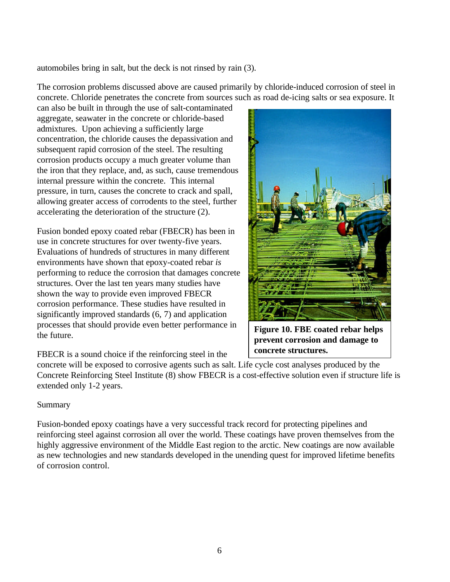automobiles bring in salt, but the deck is not rinsed by rain (3).

The corrosion problems discussed above are caused primarily by chloride-induced corrosion of steel in concrete. Chloride penetrates the concrete from sources such as road de-icing salts or sea exposure. It

can also be built in through the use of salt-contaminated aggregate, seawater in the concrete or chloride-based admixtures. Upon achieving a sufficiently large concentration, the chloride causes the depassivation and subsequent rapid corrosion of the steel. The resulting corrosion products occupy a much greater volume than the iron that they replace, and, as such, cause tremendous internal pressure within the concrete. This internal pressure, in turn, causes the concrete to crack and spall, allowing greater access of corrodents to the steel, further accelerating the deterioration of the structure (2).

Fusion bonded epoxy coated rebar (FBECR) has been in use in concrete structures for over twenty-five years. Evaluations of hundreds of structures in many different environments have shown that epoxy-coated rebar *is* performing to reduce the corrosion that damages concrete structures. Over the last ten years many studies have shown the way to provide even improved FBECR corrosion performance. These studies have resulted in significantly improved standards (6, 7) and application processes that should provide even better performance in the future.

FBECR is a sound choice if the reinforcing steel in the



**Figure 10. FBE coated rebar helps prevent corrosion and damage to concrete structures.**

concrete will be exposed to corrosive agents such as salt. Life cycle cost analyses produced by the Concrete Reinforcing Steel Institute (8) show FBECR is a cost-effective solution even if structure life is extended only 1-2 years.

#### Summary

Fusion-bonded epoxy coatings have a very successful track record for protecting pipelines and reinforcing steel against corrosion all over the world. These coatings have proven themselves from the highly aggressive environment of the Middle East region to the arctic. New coatings are now available as new technologies and new standards developed in the unending quest for improved lifetime benefits of corrosion control.